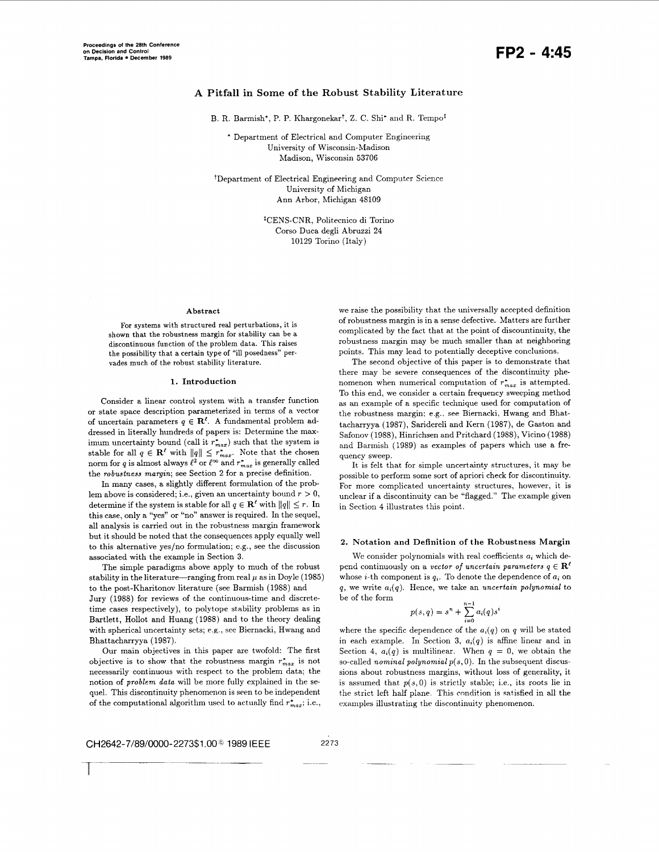# **A Pitfall in Some of the Robust Stability Literature**

B. R. Barmish\*, P. P. Khargonekar<sup>†</sup>, Z. C. Shi\* and R. Tempo<sup>t</sup>

\* Department of Electrical and Computer Engineering University of Wisconsin-Madison Madison. Wisconsin 53706

tDepartment of Electrical Engineering and Computer Science University of Michigan Ann Arbor, Michigan 48109

> tCENS-CNR, Politecnico di Torino Corso Duca degli Abruzzi 24 10129 Torino (Italy)

### **Abstract**

**For** systems with structured real perturbations, it is shown that the robustness margin for stability can be a discontinuous function of the problem data. This raises the possibility that a certain type of "ill posedness" pervades much of the robust stability literature.

## **1.** Introduction

Consider a linear control system with a transfer function or state space description parameterized in terms of a vector of uncertain parameters  $q \in \mathbb{R}^{\ell}$ . A fundamental problem addressed in literally hundreds of papers is: Determine the maximum uncertainty bound (call it  $r_{max}^*$ ) such that the system is stable for all  $q \in \mathbb{R}^{\ell}$  with  $||q|| \leq r_{max}^*$ . Note that the chosen norm for *q* is almost always  $\ell^2$  or  $\ell^{\infty}$  and  $r_{max}^*$  is generally called the *robustness margin;* see Section *2* for a precise definition.

In many cases, a slightly different formulation of the problem above is considered; i.e., given an uncertainty bound  $r > 0$ , determine if the system is stable for all  $q \in \mathbb{R}^{\ell}$  with  $||q|| \leq r$ . In this case, only a "yes" or "no" answer is required. In the sequel, all analysis is carried out in the robustness margin framework but it should be noted that the consequences apply equally well to this alternative yes/no formulation; e.g., see the discussion associated with the example in Section 3.

The simple paradigms above apply to much of the robust stability in the literature-ranging from real  $\mu$  as in Doyle (1985) to the post-Kharitonov literature (see Barmish (1988) and

Jury (1988) for reviews of the continuous-time and discretetime cases respectively), to polytope stability problems as in Bartlett, Hollot and Huang (1988) and to the theory dealing with spherical uncertainty sets; *e.g.,* see Biernacki, Hwang and Bhattacharryya (1987).

Our main objectives in this paper are twofold: The first objective is to show that the robustness margin  $r_{max}$  is not necessarily continuous with respect to the problem data; the notion of *problem data* will be more fully explained in the sequel. This discontinuity phenomenon is seen to be independent of the computational algorithm used to actually find  $r_{max}^*$ ; *i.e.*, we raise the possibility that the universally accepted definition of robustness margin is in a sense defective. Matters are further complicated by the fact that at the point of discountinuity, the robustness margin may be much smaller than at neighboring points. This may lead to potentially deceptive conclusions.

The second objective of this paper is to demonstrate that there may be severe consequences of the discontinuity phenomenon when numerical computation of  $r_{max}^*$  is attempted. To this end, we consider **a** certain frequency sweeping method as an example of a specific technique used for computation of the robustness margin; e.g.. see Biernacki, Hwang and Bhattacharryya (1987), Saridereli and Kern (1987), de Gaston and Safonov (1988), Hinrichsen and Pritchard (1988), Vicino (1988) and Barmish (1989) as examples of papers which use a frequency sweep.

It is felt that for simple uncertainty structures, it may be possible to perform some sort of apriori check for discontinuity. For more complicated uncertainty structures, however, it is unclear if a discontinuity can be "flagged." The example given in Section **4** illustrates this point.

# **2.** Notation and Definition **of** the Robustness Margin

We consider polynomials with real coefficients *ai* which depend continuously on a *vector of uncertain parameters*  $q \in \mathbb{R}^{\ell}$ whose *i*-th component is  $q_i$ . To denote the dependence of  $a_i$  on *q,* we write *a,(q).* Hence, we take an *uncertain polynomial* to be of the form **n-1** 

$$
p(s,q) = s^n + \sum_{i=0}^{n-1} a_i(q) s^i
$$

where the specific dependence of the  $a_i(q)$  on *q* will be stated in each example. In Section 3,  $a_i(q)$  is affine linear and in Section 4,  $a_i(q)$  is multilinear. When  $q = 0$ , we obtain the so-called *nominal polynomial p(s,* 0). In the subsequent discussions about robustness margins, without loss of generality, it is assumed that  $p(s,0)$  is strictly stable; i.e., its roots lie in the strict left half plane. This condition is satisfied in all the examples illustrating the discontinuity phenomenon.

CH2642-7/89/0000-2273\$1 *.OOG* 1989 IEEE 2273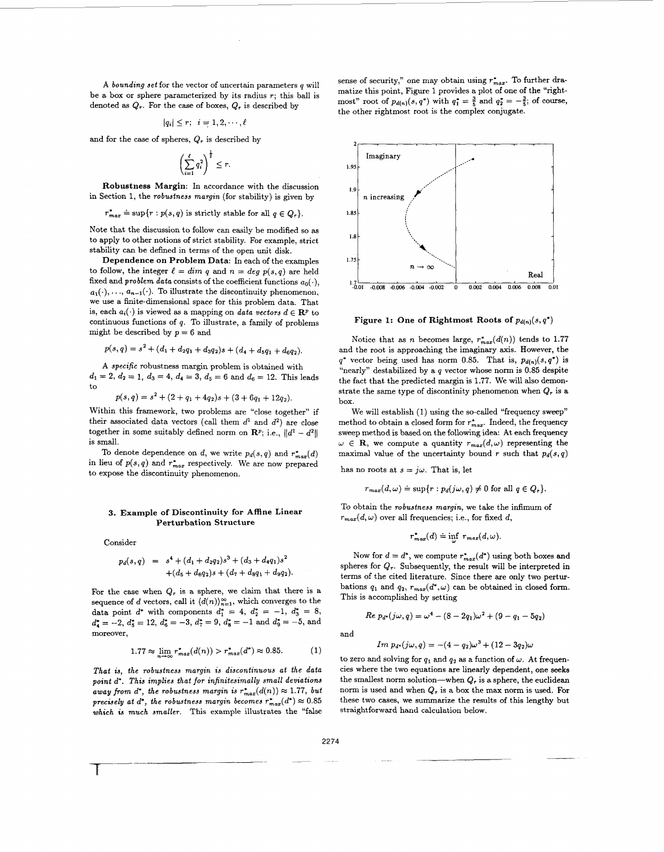**A** *bounding set* for the vector of uncertain parameters *q* will be a box or sphere parameterized by its radius *r;* this ball is denoted **as** *Qr.* For the case of boxes, *Qr* is described by

$$
|q_i| \leq r; \ \ i=1,2,\cdots,\ell
$$

and for the case of spheres,  $Q_r$  is described by

$$
\left(\sum_{i=1}^{\ell} q_i^2\right)^{\frac{1}{2}} \le r.
$$

**Robustness Margin:** In accordance with the discussion in Section 1, the *robustness margin* (for stability) is given by

 $r_{max}^* \doteq \sup\{r : p(s, q) \text{ is strictly stable for all } q \in Q_r\}.$ 

Note that the discussion to follow can easily be modified so **as**  to apply to other notions of strict stability. For example, strict stability can be defhed in terms of the open unit disk.

**Dependence on Problem Data:** In each of the examples to follow, the integer  $\ell = dim q$  and  $n = deg p(s,q)$  are held fixed and *problem data* consists of the coefficient functions  $a_0(\cdot)$ ,  $a_1(\cdot), \ldots, a_{n-1}(\cdot)$ . To illustrate the discontinuity phenomenon, we use a finite-dimensional space for this problem data. That is, each  $a_i(\cdot)$  is viewed as a mapping on *data vectors*  $d \in \mathbb{R}^p$  to continuous functions of *q.* To illustrate, a family of problems might be described by  $p = 6$  and

$$
p(s,q) = s2 + (d1 + d2q1 + d3q2)s + (d4 + d5q1 + d6q2).
$$

**A** *specific* robustness margin problem is obtained with  $d_1 = 2, d_2 = 1, d_3 = 4, d_4 = 3, d_5 = 6 \text{ and } d_6 = 12.$  This leads to

$$
p(s,q) = s^2 + (2+q_1+4q_2)s + (3+6q_1+12q_2).
$$

Within this framework, two problems are "close together" if their associated data vectors (call them  $d^1$  and  $d^2$ ) are close together in some suitably defined norm on  $\mathbb{R}^p$ ; i.e.,  $||d^1 - d^2||$ is small.

To denote dependence on *d*, we write  $p_d(s, q)$  and  $r_{max}^*(d)$ in lieu of  $p(s, q)$  and  $r_{max}^*$  respectively. We are now prepared to expose the discontinuity phenomenon.

# **3. Example of Discontinuity for Affine Linear Perturbation Structure**

Consider

$$
p_d(s,q) = s4 + (d_1 + d_2q_2)s3 + (d_3 + d_4q_1)s2 + (d_5 + d_6q_2)s + (d_7 + d_8q_1 + d_9q_2).
$$

For the case when  $Q_r$  is a sphere, we claim that there is a sequence of *d* vectors, call it  $\langle d(n) \rangle_{n=1}^{\infty}$ , which converges to the data point  $d^*$  with components  $d_1^* = 4$ ,  $d_2^* = -1$ ,  $d_3^* = 8$ ,  $d_4^* = -2$ ,  $d_5^* = 12$ ,  $d_6^* = -3$ ,  $d_7^* = 9$ ,  $d_8^* = -1$  and  $d_9^* = -5$ , and moreover,

$$
1.77 \approx \lim_{m \to \infty} r_{max}^*(d(n)) > r_{max}^*(d^*) \approx 0.85. \tag{1}
$$

*That is, the robustness margin is discontinuous at the data point d'. This implies that for infinitesimally small deviations away from d\*, the robustness margin is*  $r_{max}^*(d(n)) \approx 1.77$ , *but precisely at d', the robustness margin becomes*  $r_{max}^*(d^*) \approx 0.85$  which is much smaller. This example illustrates the "false" *which is much smaller.* This example illustrates the "false sense of security," one may obtain using  $r_{max}^*$ . To further dramatize this point, Figure 1 provides a plot of one of the "rightmost" root of  $p_{d(n)}(s,q^*)$  with  $q_1^* = \frac{3}{5}$  and  $q_2^* = -\frac{3}{5}$ ; of course, the other rightmost root is the complex conjugate.



**Figure 1: One of Rightmost Roots of**  $p_{d(n)}(s, q^*)$ 

Notice that as *n* becomes large,  $r_{max}^*(d(n))$  tends to 1.77 and the root is approaching the imaginary axis. However, the  $q^*$  vector being used has norm 0.85. That is,  $p_{d(n)}(s,q^*)$  is "nearly" destabilized by a *q* vector whose norm is *0.85* despite the fact that the predicted margin is 1.77. We will also demonstrate the same type of discontinity phenomenon when  $Q_r$  is a box.

We will establish (1) using the so-called "frequency sweep" method to obtain a closed form for  $r_{max}^*$ . Indeed, the frequency sweep method is based on the following idea: At each frequency  $\omega \in \mathbf{R}$ , we compute a quantity  $r_{max}(d,\omega)$  representing the maximal value of the uncertainty bound  $r$  such that  $p_d(s,q)$ 

has no roots at  $s = j\omega$ . That is, let

$$
r_{max}(d,\omega) \doteq \sup\{r : p_d(j\omega,q) \neq 0 \text{ for all } q \in Q_r\}.
$$

To obtain the *robustness margin,* we take the infimum of  $r_{max}(d,\omega)$  over all frequencies; i.e., for fixed *d*,

$$
r_{max}^*(d) \doteq \inf \ r_{max}(d,\omega).
$$

Now for  $d = d^*$ , we compute  $r_{max}^*(d^*)$  using both boxes and spheres for  $Q_r$ . Subsequently, the result will be interpreted in terms of the cited literature. Since there are only two perturbations  $q_1$  and  $q_2$ ,  $r_{max}(d^*, \omega)$  can be obtained in closed form. This is accomplished by setting

$$
Re\ p_{d^*}(j\omega, q) = \omega^4 - (8 - 2q_1)\omega^2 + (9 - q_1 - 5q_2)
$$

and

Im 
$$
p_d
$$
(j $\omega$ , q) = -(4 - q<sub>2</sub>) $\omega$ <sup>3</sup> + (12 - 3q<sub>2</sub>) $\omega$ 

to zero and solving for  $q_1$  and  $q_2$  as a function of  $\omega$ . At frequencies where the two equations are linearly dependent, one **seeks**  the smallest norm solution-when  $Q_r$  is a sphere, the euclidean norm is used and when *Q,* is a box the max norm is used. For these two cases, we summarize the results of this lengthy but straightforward hand calculation below.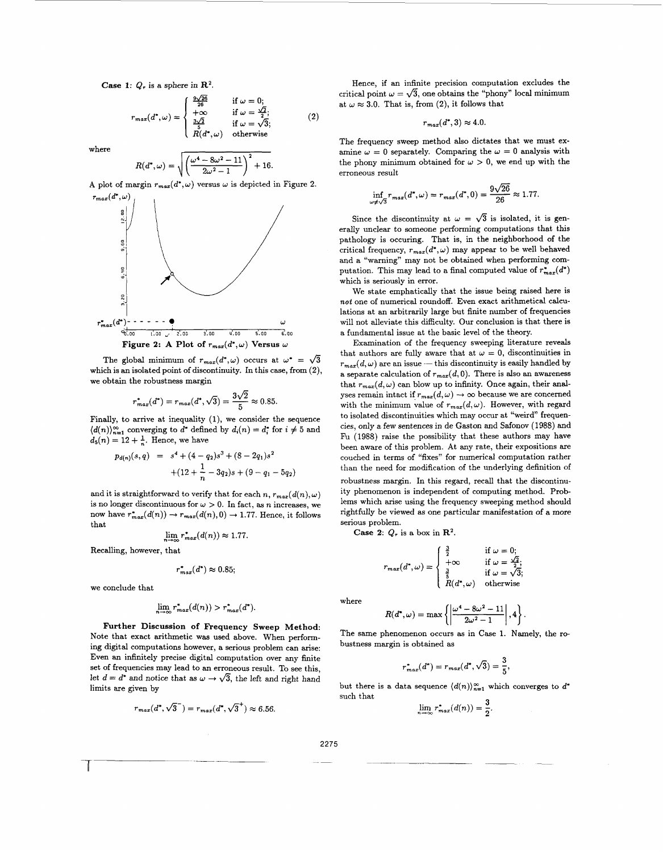**Case 1:**  $Q_r$  is a sphere in  $\mathbb{R}^2$ .

: 
$$
Q_r
$$
 is a sphere in  $\mathbb{R}^2$ .  
\n
$$
r_{max}(d^*, \omega) = \begin{cases} \frac{9\sqrt{26}}{26} & \text{if } \omega = 0; \\ +\infty & \text{if } \omega = \frac{\sqrt{2}}{2}; \\ \frac{3\sqrt{2}}{26} & \text{if } \omega = \sqrt{3}; \\ R(d^*, \omega) & \text{otherwise} \end{cases}
$$
 (2)

where

$$
R(d^*,\omega)=\sqrt{\left(\frac{\omega^4-8\omega^2-11}{2\omega^2-1}\right)^2+16}.
$$

A plot of margin  $r_{max}(d^*, \omega)$  versus  $\omega$  is depicted in Figure 2.  $r_{max}(d^*,\omega)$ 



The global minimum of  $r_{max}(d^*, \omega)$  occurs at  $\omega^* = \sqrt{3}$ The global minimum of  $r_{max}(d^*, \omega)$  occurs at  $\omega^* = \sqrt{3}$ <br>
which is an isolated point of discontinuity. In this case, from (2),<br>
we obtain the robustness margin<br>  $r_{max}^*(d^*) = r_{max}(d^*, \sqrt{3}) = \frac{3\sqrt{2}}{5} \approx 0.85.$ we obtain the robustness margin

$$
r_{max}^*(d^*) = r_{max}(d^*, \sqrt{3}) = \frac{3\sqrt{2}}{5} \approx 0.85
$$

Finally, to arrive at inequality (1), we consider the sequence Finally, to arrive at inequality (1), we consider the sequence  $(d(n))_{n=1}^{\infty}$  converging to  $d^*$  defined by  $d_i(n) = d_i^*$  for  $i \neq 5$  and  $d_5(n) = 12 + \frac{1}{n}$ . Hence, we have

$$
p_{d(n)}(s,q) = s4 + (4 - q2)s3 + (8 - 2q1)s2
$$
  
+ (12 +  $\frac{1}{n}$  - 3q<sub>2</sub>)s + (9 - q<sub>1</sub> - 5q<sub>2</sub>)

and it is straightforward to verify that for each *n*,  $r_{max}(d(n), \omega)$ is no longer discontinuous for  $\omega > 0$ . In fact, as *n* increases, we now have  $r_{max}^*(d(n)) \rightarrow r_{max}(d(n),0) \rightarrow 1.77$ . Hence, it follows that

$$
\lim_{n\to\infty}r_{max}^*(d(n))\approx 1.77.
$$

Recalling, however, that

$$
r_{max}^*(d^*) \approx 0.85;
$$

we conclude that

$$
\lim_{n \to \infty} r_{max}^*(d(n)) > r_{max}^*(d^*).
$$

**Further Discussion of Frequency Sweep Method:**  Note that exact arithmetic was used above. When performing digital computations however, a serious problem can arise: Even an infinitely precise digital computation over any finite set of frequencies may lead to an erroneous result. To see this, let  $d = d^*$  and notice that as  $\omega \to \sqrt{3}$ , the left and right hand limits are given by

$$
r_{max}(d^*, \sqrt{3}^-) = r_{max}(d^*, \sqrt{3}^+) \approx 6.56.
$$

Hence, if an infinite precision computation excludes the critical point  $\omega = \sqrt{3}$ , one obtains the "phony" local minimum at  $\omega \approx 3.0$ . That is, from (2), it follows that

$$
r_{max}(d^*,3) \approx 4.0.
$$

The frequency sweep method also dictates that we must examine  $\omega = 0$  separately. Comparing the  $\omega = 0$  analysis with the phony minimum obtained for  $\omega > 0$ , we end up with the erroneous result

$$
\inf_{\omega \neq \sqrt{3}} r_{max}(d^*, \omega) = r_{max}(d^*, 0) = \frac{9\sqrt{26}}{26} \approx 1.77.
$$

Since the discontinuity at  $\omega = \sqrt{3}$  is isolated, it is generally unclear to someone performing computations that this pathology is occuring. That is, in the neighborhood of the critical frequency,  $r_{max}(d^*, \omega)$  may appear to be well behaved and a "warning" may not be obtained when performing computation. This may lead to a final computed value of  $r_{max}^*(d^*)$ which is seriously in error.

We state emphatically that the issue being raised here is *not* one of numerical roundoff. Even exact arithmetical calculations at an arbitrarily large but finite number of frequencies will not alleviate this difficulty. Our conclusion is that there is a fundamental issue at the basic level of the theory.

Examination of the frequency sweeping literature reveals that authors are fully aware that at  $\omega = 0$ , discontinuities in  $r_{max}(d,\omega)$  are an issue - this discontinuity is easily handled by a separate calculation of  $r_{max}(d, 0)$ . There is also an awareness that  $r_{max}(d,\omega)$  can blow up to infinity. Once again, their analyses remain intact if  $r_{max}(d,\omega) \rightarrow \infty$  because we are concerned with the minimum value of  $r_{max}(d,\omega)$ . However, with regard to isolated discontinuities which may occur at "weird" frequencies, only a few sentences in de Gaston and Safonov (1988) and Fu (1988) raise the possibility that these authors may have been aware of this problem. At any rate, their expositions are couched in terms of "fixes" for numerical computation rather than the need for modification of the underlying definition of robustness margin. In this regard, recall that the discontinuity phenomenon is independent of computing method. Problems which arise using the frequency sweeping method should rightfully be viewed as one particular manifestation of a more serious problem.

**Case 2:**  $Q_r$  is a box in  $\mathbb{R}^2$ .

$$
r_{max}(d^{\star},\omega)=\left\{\begin{array}{ll} \frac{3}{2} & \text{if } \omega=0;\\ +\infty & \text{if } \omega=\frac{\sqrt{2}}{2};\\ \frac{3}{5} & \text{if } \omega=\sqrt{3};\\ R(d^{\star},\omega) & \text{otherwise} \end{array}\right.
$$

where

$$
R(d^*,\omega)=\max\left\{\left|\frac{\omega^4-8\omega^2-11}{2\omega^2-1}\right|,4\right\}.
$$

The same phenomenon occurs as in Case 1. Namely, the robustness margin is obtained as

$$
r_{max}^*(d^*) = r_{max}(d^*, \sqrt{3}) = \frac{3}{5},
$$

but there is a data sequence  $\langle d(n) \rangle_{n=1}^{\infty}$  which converges to  $d^*$ such that

$$
\lim_{n \to \infty} r_{max}^*(d(n)) = \frac{3}{2}
$$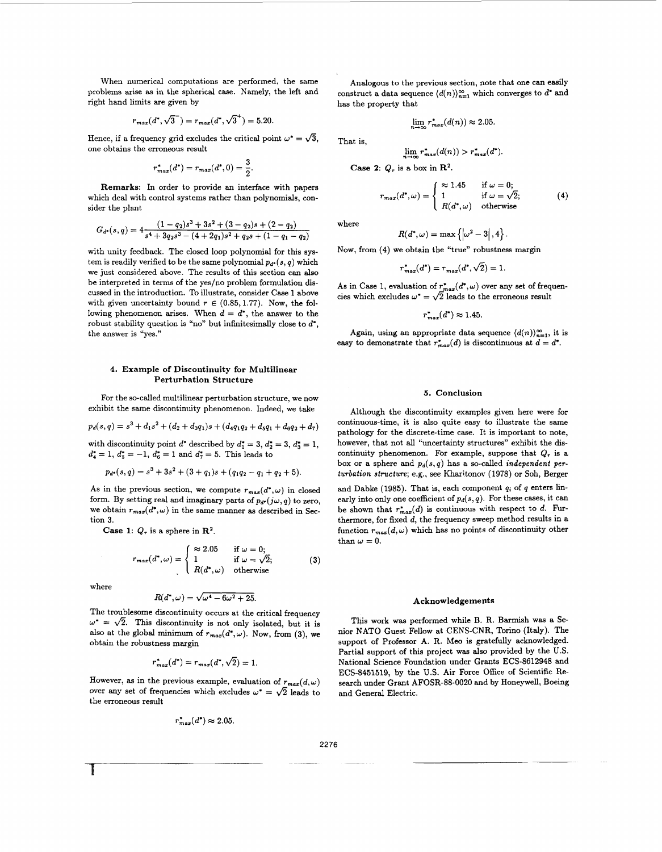When numerical computations are performed, the same problems arise as in the spherical case. Namely, the left and right hand limits are given by

limits are given by

\n
$$
r_{max}(d^*, \sqrt{3}^-) = r_{max}(d^*, \sqrt{3}^+) = 5.20.
$$

Hence, if a frequency grid excludes the critical point  $\omega^* = \sqrt{3}$ , one obtains the erroneous result

$$
r_{max}^*(d^*) = r_{max}(d^*, 0) = \frac{3}{2}.
$$

Remarks: In order to provide an interface with papers which deal with control systems rather than polynomials, consider the plant

$$
G_{d^*}(s,q) = 4 \frac{(1-q_2)s^3 + 3s^2 + (3-q_2)s + (2-q_2)}{s^4 + 3q_2s^3 - (4+2q_1)s^2 + q_2s + (1-q_1-q_2)}
$$

with unity feedback. The closed loop polynomial for this system is readily verified to be the same polynomial  $p_{d}$ . $(s, q)$  which we just considered above. The results of this section can **also**  be interpreted in terms of the yes/no problem formulation discussed in the introduction. To illustrate, consider Case 1 above with given uncertainty bound  $r \in (0.85, 1.77)$ . Now, the following phenomenon arises. When  $d = d^*$ , the answer to the robust stability question is "no" but infinitesimally close to *d',*  the answer is "yes."

# **4.** Example of Discontinuity for Multilinear Perturbation Structure

For the so-called multilinear perturbation structure, we now exhibit the same discontinuity phenomenon. Indeed, we take

$$
p_d(s,q) = s^3 + d_1s^2 + (d_2 + d_3q_1)s + (d_4q_1q_2 + d_5q_1 + d_6q_2 + d_7)
$$

with discontinuity point  $d^*$  described by  $d_1^* = 3$ ,  $d_2^* = 3$ ,  $d_3^* = 1$ ,  $d_4^* = 1$ ,  $d_5^* = -1$ ,  $d_6^* = 1$  and  $d_7^* = 5$ . This leads to

$$
p_{d^*}(s,q) = s^3 + 3s^2 + (3+q_1)s + (q_1q_2 - q_1 + q_2 + 5).
$$

As in the previous section, we compute  $r_{max}(d^*, \omega)$  in closed form. By setting real and imaginary parts of  $p_{d^*}(j\omega, q)$  to zero, we obtain  $r_{max}(d^*, \omega)$  in the same manner as described in Section *3.* 

Case 1:  $Q_r$  is a sphere in  $\mathbb{R}^2$ .

$$
r_{max}(d^*, \omega) = \begin{cases} \approx 2.05 & \text{if } \omega = 0; \\ 1 & \text{if } \omega = \sqrt{2}; \\ R(d^*, \omega) & \text{otherwise} \end{cases}
$$
 (3)

where

1

$$
R(d^*,\omega)=\sqrt{\omega^4-6\omega^2+25}.
$$

The troublesome discontinuity occurs at the critical frequency  $\omega^* = \sqrt{2}$ . This discontinuity is not only isolated, but it is also at the global minimum of  $r_{max}(d^*, \omega)$ . Now, from (3), we obtain the robustness margin

$$
r_{max}^*(d^*) = r_{max}(d^*, \sqrt{2}) = 1.
$$

However, as in the previous example, evaluation of  $r_{max}(d,\omega)$ over any set of frequencies which excludes  $\omega^* = \sqrt{2}$  leads to the erroneous result

$$
r_{max}^*(d^*) \approx 2.05.
$$

Analogous to the previous section, note that one can easily construct a data sequence  $\langle d(n) \rangle_{n=1}^{\infty}$  which converges to  $d^*$  and has the property that

$$
\lim_{n \to \infty} r^*_{max}(d(n)) \approx 2.05
$$

 $\lim_{m \to \infty} r_{max}^*(d(n)) > r_{max}^*(d^*).$ 

Case 2:  $Q_r$  is a box in  $\mathbb{R}^2$ .

$$
r_{max}(d^*, \omega) = \begin{cases} \approx 1.45 & \text{if } \omega = 0; \\ 1 & \text{if } \omega = \sqrt{2}; \\ R(d^*, \omega) & \text{otherwise} \end{cases}
$$
 (4)

where

That is,

$$
R(d^*,\omega)=\max\left\{\left|\omega^2-3\right|,4\right\}.
$$

Now, from (4) we obtain the "true" robustness margin

$$
r_{max}^*(d^*) = r_{max}(d^*, \sqrt{2}) = 1.
$$

As in Case 1, evaluation of  $r_{max}^*(d^*,\omega)$  over any set of frequencies which excludes  $\omega^* = \sqrt{2}$  leads to the erroneous result

$$
r_{max}^*(d^*) \approx 1.45.
$$

Again, using an appropriate data sequence  $\langle d(n) \rangle_{n=1}^{\infty}$ , it is easy to demonstrate that  $r_{max}^*(d)$  is discontinuous at  $d = d^*$ .

## *5.* Conclusion

Although the discontinuity examples given here were for continuous-time, it is also quite easy to illustrate the same pathology for the discrete-time case. It is important to note, however, that not **all** "uncertainty structures" exhibit the discontinuity phenomenon. For example, suppose that  $Q_r$  is a box or a sphere and  $p_d(s,q)$  has a so-called *independent perturbation structure;* e.g., see Kharitonov (1978) or Soh, Berger

and Dabke (1985). That is, each component  $q_i$  of  $q$  enters linearly into only one coefficient of  $p_d(s, q)$ . For these cases, it can be shown that  $r_{max}^*(d)$  is continuous with respect to *d*. Furthermore, for fixed *d,* the frequency sweep method results in a function  $r_{max}(d,\omega)$  which has no points of discontinuity other than  $\omega = 0$ .

#### Acknowledgements

This work was performed while B. R. Barmish was a Senior NATO Guest Fellow at CENS-CNR, Torino (Italy). The support of Professor A. R. Meo is gratefully acknowledged. Partial support of this project was also provided by the U.S. National Science Foundation under Grants **ECS-8612948** and ECS-8451519, by the **U.S.** Air Force Office of Scientific Research under Grant AFOSR-88-0020 and by Honeywell, Boeing and General Electric.